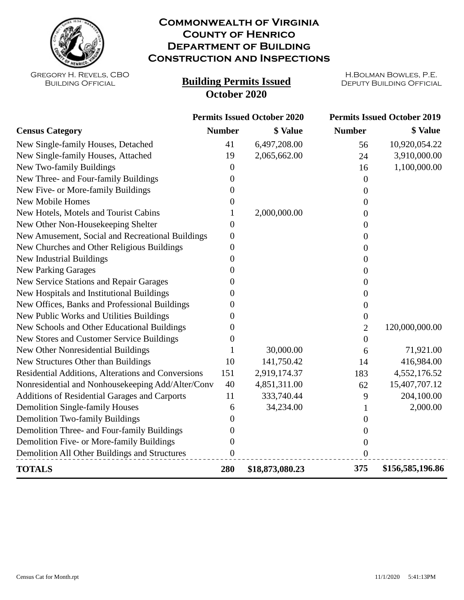

## **Commonwealth of Virginia County of Henrico Department of Building Construction and Inspections**

Gregory H. Revels, CBO Building Official

## **Building Permits Issued October 2020**

H.Bolman Bowles, P.E.

|                                                      | <b>Permits Issued October 2020</b> |                 | <b>Permits Issued October 2019</b> |                  |
|------------------------------------------------------|------------------------------------|-----------------|------------------------------------|------------------|
| <b>Census Category</b>                               | <b>Number</b>                      | \$ Value        | <b>Number</b>                      | \$ Value         |
| New Single-family Houses, Detached                   | 41                                 | 6,497,208.00    | 56                                 | 10,920,054.22    |
| New Single-family Houses, Attached                   | 19                                 | 2,065,662.00    | 24                                 | 3,910,000.00     |
| New Two-family Buildings                             | $\theta$                           |                 | 16                                 | 1,100,000.00     |
| New Three- and Four-family Buildings                 | 0                                  |                 | $\boldsymbol{0}$                   |                  |
| New Five- or More-family Buildings                   | 0                                  |                 | $\Omega$                           |                  |
| New Mobile Homes                                     | 0                                  |                 | 0                                  |                  |
| New Hotels, Motels and Tourist Cabins                | 1                                  | 2,000,000.00    | 0                                  |                  |
| New Other Non-Housekeeping Shelter                   | 0                                  |                 | $\theta$                           |                  |
| New Amusement, Social and Recreational Buildings     | $\boldsymbol{0}$                   |                 | 0                                  |                  |
| New Churches and Other Religious Buildings           | $\overline{0}$                     |                 | 0                                  |                  |
| New Industrial Buildings                             | 0                                  |                 | $\theta$                           |                  |
| <b>New Parking Garages</b>                           | 0                                  |                 | 0                                  |                  |
| New Service Stations and Repair Garages              | 0                                  |                 | 0                                  |                  |
| New Hospitals and Institutional Buildings            | $\theta$                           |                 | 0                                  |                  |
| New Offices, Banks and Professional Buildings        | 0                                  |                 | 0                                  |                  |
| New Public Works and Utilities Buildings             | 0                                  |                 | $\overline{0}$                     |                  |
| New Schools and Other Educational Buildings          | 0                                  |                 | 2                                  | 120,000,000.00   |
| New Stores and Customer Service Buildings            | 0                                  |                 | $\boldsymbol{0}$                   |                  |
| New Other Nonresidential Buildings                   | 1                                  | 30,000.00       | 6                                  | 71,921.00        |
| New Structures Other than Buildings                  | 10                                 | 141,750.42      | 14                                 | 416,984.00       |
| Residential Additions, Alterations and Conversions   | 151                                | 2,919,174.37    | 183                                | 4,552,176.52     |
| Nonresidential and Nonhousekeeping Add/Alter/Conv    | 40                                 | 4,851,311.00    | 62                                 | 15,407,707.12    |
| <b>Additions of Residential Garages and Carports</b> | 11                                 | 333,740.44      | 9                                  | 204,100.00       |
| <b>Demolition Single-family Houses</b>               | 6                                  | 34,234.00       |                                    | 2,000.00         |
| <b>Demolition Two-family Buildings</b>               | 0                                  |                 | $\theta$                           |                  |
| Demolition Three- and Four-family Buildings          | 0                                  |                 | 0                                  |                  |
| Demolition Five- or More-family Buildings            | 0                                  |                 | $\boldsymbol{0}$                   |                  |
| Demolition All Other Buildings and Structures        | $\boldsymbol{0}$                   |                 | $\overline{0}$                     |                  |
| <b>TOTALS</b>                                        | 280                                | \$18,873,080.23 | 375                                | \$156,585,196.86 |